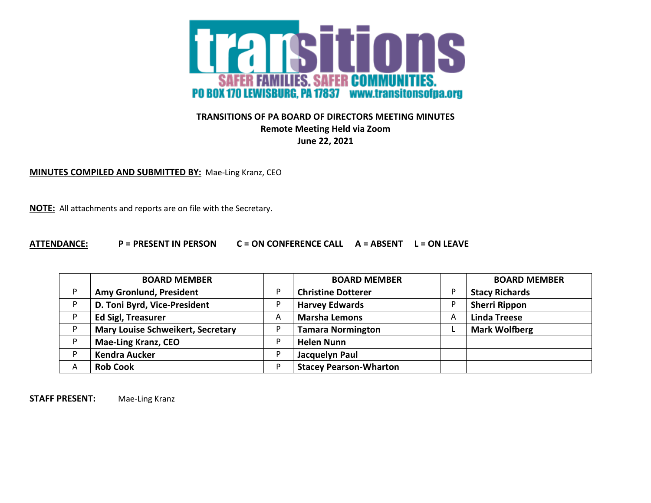

## **TRANSITIONS OF PA BOARD OF DIRECTORS MEETING MINUTES Remote Meeting Held via Zoom June 22, 2021**

**MINUTES COMPILED AND SUBMITTED BY:** Mae-Ling Kranz, CEO

**NOTE:** All attachments and reports are on file with the Secretary.

## **ATTENDANCE: P = PRESENT IN PERSON C = ON CONFERENCE CALL A = ABSENT L = ON LEAVE**

|   | <b>BOARD MEMBER</b>                      |    | <b>BOARD MEMBER</b>           |   | <b>BOARD MEMBER</b>   |
|---|------------------------------------------|----|-------------------------------|---|-----------------------|
| D | Amy Gronlund, President                  |    | <b>Christine Dotterer</b>     |   | <b>Stacy Richards</b> |
|   | D. Toni Byrd, Vice-President             |    | <b>Harvey Edwards</b>         |   | <b>Sherri Rippon</b>  |
|   | <b>Ed Sigl, Treasurer</b>                | A  | <b>Marsha Lemons</b>          | A | <b>Linda Treese</b>   |
|   | <b>Mary Louise Schweikert, Secretary</b> |    | <b>Tamara Normington</b>      |   | <b>Mark Wolfberg</b>  |
|   | <b>Mae-Ling Kranz, CEO</b>               | D  | <b>Helen Nunn</b>             |   |                       |
|   | <b>Kendra Aucker</b>                     | D  | Jacquelyn Paul                |   |                       |
| Α | <b>Rob Cook</b>                          | D. | <b>Stacey Pearson-Wharton</b> |   |                       |

**STAFF PRESENT:** Mae-Ling Kranz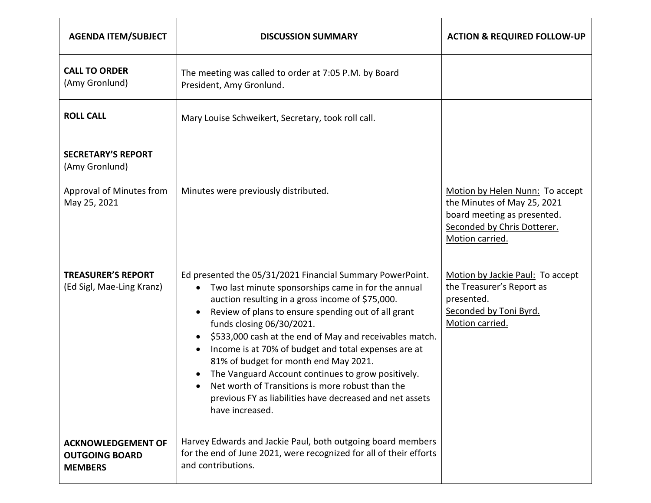| <b>AGENDA ITEM/SUBJECT</b>                                              | <b>DISCUSSION SUMMARY</b>                                                                                                                                                                                                                                                                                                                                                                                                                                                                                                                                                                                                                            | <b>ACTION &amp; REQUIRED FOLLOW-UP</b>                                                                                   |
|-------------------------------------------------------------------------|------------------------------------------------------------------------------------------------------------------------------------------------------------------------------------------------------------------------------------------------------------------------------------------------------------------------------------------------------------------------------------------------------------------------------------------------------------------------------------------------------------------------------------------------------------------------------------------------------------------------------------------------------|--------------------------------------------------------------------------------------------------------------------------|
| <b>CALL TO ORDER</b><br>(Amy Gronlund)                                  | The meeting was called to order at 7:05 P.M. by Board<br>President, Amy Gronlund.                                                                                                                                                                                                                                                                                                                                                                                                                                                                                                                                                                    |                                                                                                                          |
| <b>ROLL CALL</b><br>Mary Louise Schweikert, Secretary, took roll call.  |                                                                                                                                                                                                                                                                                                                                                                                                                                                                                                                                                                                                                                                      |                                                                                                                          |
| <b>SECRETARY'S REPORT</b><br>(Amy Gronlund)<br>Approval of Minutes from | Minutes were previously distributed.                                                                                                                                                                                                                                                                                                                                                                                                                                                                                                                                                                                                                 | Motion by Helen Nunn: To accept                                                                                          |
| May 25, 2021                                                            |                                                                                                                                                                                                                                                                                                                                                                                                                                                                                                                                                                                                                                                      | the Minutes of May 25, 2021<br>board meeting as presented.<br>Seconded by Chris Dotterer.<br>Motion carried.             |
| <b>TREASURER'S REPORT</b><br>(Ed Sigl, Mae-Ling Kranz)                  | Ed presented the 05/31/2021 Financial Summary PowerPoint.<br>Two last minute sponsorships came in for the annual<br>auction resulting in a gross income of \$75,000.<br>Review of plans to ensure spending out of all grant<br>$\bullet$<br>funds closing 06/30/2021.<br>\$533,000 cash at the end of May and receivables match.<br>$\bullet$<br>Income is at 70% of budget and total expenses are at<br>$\bullet$<br>81% of budget for month end May 2021.<br>The Vanguard Account continues to grow positively.<br>Net worth of Transitions is more robust than the<br>previous FY as liabilities have decreased and net assets<br>have increased. | Motion by Jackie Paul: To accept<br>the Treasurer's Report as<br>presented.<br>Seconded by Toni Byrd.<br>Motion carried. |
| <b>ACKNOWLEDGEMENT OF</b><br><b>OUTGOING BOARD</b><br><b>MEMBERS</b>    | Harvey Edwards and Jackie Paul, both outgoing board members<br>for the end of June 2021, were recognized for all of their efforts<br>and contributions.                                                                                                                                                                                                                                                                                                                                                                                                                                                                                              |                                                                                                                          |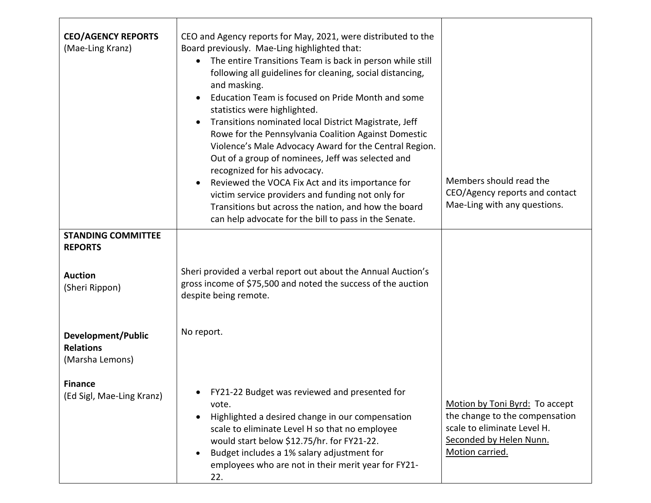| <b>CEO/AGENCY REPORTS</b><br>(Mae-Ling Kranz)             | CEO and Agency reports for May, 2021, were distributed to the<br>Board previously. Mae-Ling highlighted that:<br>The entire Transitions Team is back in person while still<br>$\bullet$<br>following all guidelines for cleaning, social distancing,<br>and masking.<br>Education Team is focused on Pride Month and some<br>$\bullet$<br>statistics were highlighted.<br>Transitions nominated local District Magistrate, Jeff<br>$\bullet$<br>Rowe for the Pennsylvania Coalition Against Domestic<br>Violence's Male Advocacy Award for the Central Region.<br>Out of a group of nominees, Jeff was selected and<br>recognized for his advocacy.<br>Reviewed the VOCA Fix Act and its importance for<br>$\bullet$<br>victim service providers and funding not only for | Members should read the<br>CEO/Agency reports and contact                                                                                     |
|-----------------------------------------------------------|---------------------------------------------------------------------------------------------------------------------------------------------------------------------------------------------------------------------------------------------------------------------------------------------------------------------------------------------------------------------------------------------------------------------------------------------------------------------------------------------------------------------------------------------------------------------------------------------------------------------------------------------------------------------------------------------------------------------------------------------------------------------------|-----------------------------------------------------------------------------------------------------------------------------------------------|
|                                                           | Transitions but across the nation, and how the board<br>can help advocate for the bill to pass in the Senate.                                                                                                                                                                                                                                                                                                                                                                                                                                                                                                                                                                                                                                                             | Mae-Ling with any questions.                                                                                                                  |
| <b>STANDING COMMITTEE</b><br><b>REPORTS</b>               |                                                                                                                                                                                                                                                                                                                                                                                                                                                                                                                                                                                                                                                                                                                                                                           |                                                                                                                                               |
| <b>Auction</b><br>(Sheri Rippon)                          | Sheri provided a verbal report out about the Annual Auction's<br>gross income of \$75,500 and noted the success of the auction<br>despite being remote.                                                                                                                                                                                                                                                                                                                                                                                                                                                                                                                                                                                                                   |                                                                                                                                               |
| Development/Public<br><b>Relations</b><br>(Marsha Lemons) | No report.                                                                                                                                                                                                                                                                                                                                                                                                                                                                                                                                                                                                                                                                                                                                                                |                                                                                                                                               |
| <b>Finance</b><br>(Ed Sigl, Mae-Ling Kranz)               | FY21-22 Budget was reviewed and presented for<br>vote.<br>Highlighted a desired change in our compensation<br>$\bullet$<br>scale to eliminate Level H so that no employee<br>would start below \$12.75/hr. for FY21-22.<br>Budget includes a 1% salary adjustment for<br>$\bullet$<br>employees who are not in their merit year for FY21-<br>22.                                                                                                                                                                                                                                                                                                                                                                                                                          | Motion by Toni Byrd: To accept<br>the change to the compensation<br>scale to eliminate Level H.<br>Seconded by Helen Nunn.<br>Motion carried. |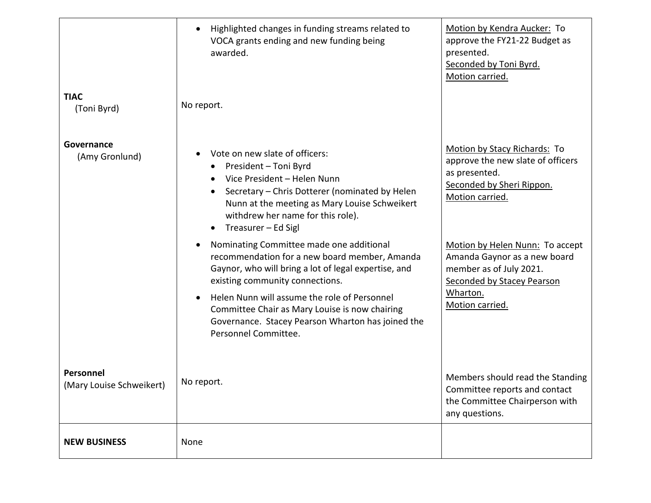|                                       | Highlighted changes in funding streams related to<br>$\bullet$<br>VOCA grants ending and new funding being<br>awarded.                                                                                                                                                                                                                                                                                                                                                                                                                                                                                                                                                                        | Motion by Kendra Aucker: To<br>approve the FY21-22 Budget as<br>presented.<br>Seconded by Toni Byrd.<br>Motion carried.                                                                                                                                                                              |
|---------------------------------------|-----------------------------------------------------------------------------------------------------------------------------------------------------------------------------------------------------------------------------------------------------------------------------------------------------------------------------------------------------------------------------------------------------------------------------------------------------------------------------------------------------------------------------------------------------------------------------------------------------------------------------------------------------------------------------------------------|------------------------------------------------------------------------------------------------------------------------------------------------------------------------------------------------------------------------------------------------------------------------------------------------------|
| <b>TIAC</b><br>(Toni Byrd)            | No report.                                                                                                                                                                                                                                                                                                                                                                                                                                                                                                                                                                                                                                                                                    |                                                                                                                                                                                                                                                                                                      |
| Governance<br>(Amy Gronlund)          | Vote on new slate of officers:<br>$\bullet$<br>President - Toni Byrd<br>Vice President - Helen Nunn<br>$\bullet$<br>Secretary - Chris Dotterer (nominated by Helen<br>Nunn at the meeting as Mary Louise Schweikert<br>withdrew her name for this role).<br>Treasurer – Ed Sigl<br>$\bullet$<br>Nominating Committee made one additional<br>$\bullet$<br>recommendation for a new board member, Amanda<br>Gaynor, who will bring a lot of legal expertise, and<br>existing community connections.<br>Helen Nunn will assume the role of Personnel<br>$\bullet$<br>Committee Chair as Mary Louise is now chairing<br>Governance. Stacey Pearson Wharton has joined the<br>Personnel Committee. | Motion by Stacy Richards: To<br>approve the new slate of officers<br>as presented.<br>Seconded by Sheri Rippon.<br>Motion carried.<br>Motion by Helen Nunn: To accept<br>Amanda Gaynor as a new board<br>member as of July 2021.<br><b>Seconded by Stacey Pearson</b><br>Wharton.<br>Motion carried. |
| Personnel<br>(Mary Louise Schweikert) | No report.                                                                                                                                                                                                                                                                                                                                                                                                                                                                                                                                                                                                                                                                                    | Members should read the Standing<br>Committee reports and contact<br>the Committee Chairperson with<br>any questions.                                                                                                                                                                                |
| <b>NEW BUSINESS</b>                   | None                                                                                                                                                                                                                                                                                                                                                                                                                                                                                                                                                                                                                                                                                          |                                                                                                                                                                                                                                                                                                      |